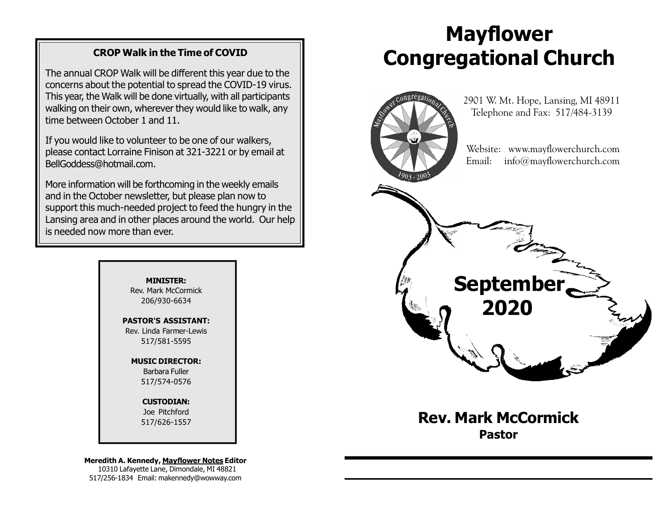#### CROP Walk in the Time of COVID

The annual CROP Walk will be different this year due to the concerns about the potential to spread the COVID-19 virus. This year, the Walk will be done virtually, with all participants walking on their own, wherever they would like to walk, any time between October 1 and 11.

If you would like to volunteer to be one of our walkers, please contact Lorraine Finison at 321-3221 or by email at BellGoddess@hotmail.com.

More information will be forthcoming in the weekly emails and in the October newsletter, but please plan now to support this much-needed project to feed the hungry in the Lansing area and in other places around the world. Our help is needed now more than ever.

> MINISTER: Rev. Mark McCormick 206/930-6634

PASTOR'S ASSISTANT: Rev. Linda Farmer-Lewis 517/581-5595

> MUSIC DIRECTOR: Barbara Fuller 517/574-0576

> > CUSTODIAN: Joe Pitchford 517/626-1557

Meredith A. Kennedy, Mayflower Notes Editor 10310 Lafayette Lane, Dimondale, MI 48821 517/256-1834 Email: makennedy@wowway.com

# Mayflower Congregational Church



Rev. Mark McCormick Pastor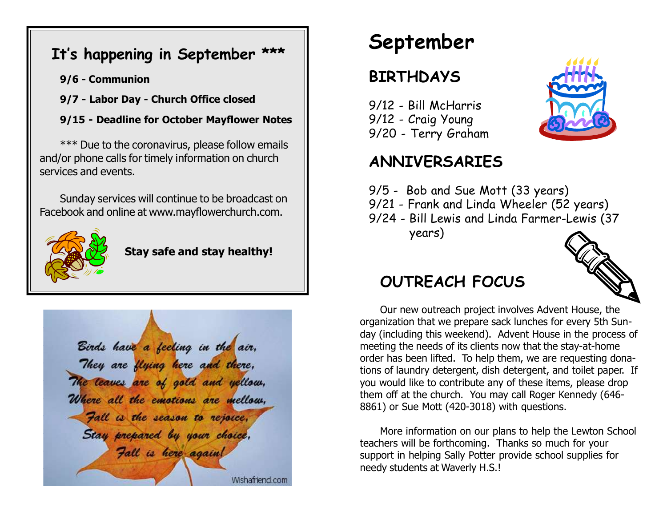### It's happening in September \*\*\*

- 9/6 Communion
- 9/7 Labor Day Church Office closed
- 9/15 Deadline for October Mayflower Notes

\*\*\* Due to the coronavirus, please follow emails and/or phone calls for timely information on church services and events.

Sunday services will continue to be broadcast on Facebook and online at www.mayflowerchurch.com.



Stay safe and stay healthy!



September

## BIRTHDAYS

9/12 - Bill McHarris 9/12 - Craig Young 9/20 - Terry Graham

### ANNIVERSARIES

- 9/5 Bob and Sue Mott (33 years)
- 9/21 Frank and Linda Wheeler (52 years)
- 9/24 Bill Lewis and Linda Farmer-Lewis (37 years)



### OUTREACH FOCUS

Our new outreach project involves Advent House, the organization that we prepare sack lunches for every 5th Sunday (including this weekend). Advent House in the process of meeting the needs of its clients now that the stay-at-home order has been lifted. To help them, we are requesting donations of laundry detergent, dish detergent, and toilet paper. If you would like to contribute any of these items, please drop them off at the church. You may call Roger Kennedy (646- 8861) or Sue Mott (420-3018) with questions.

More information on our plans to help the Lewton School teachers will be forthcoming. Thanks so much for your support in helping Sally Potter provide school supplies for needy students at Waverly H.S.!

Wishafriend.com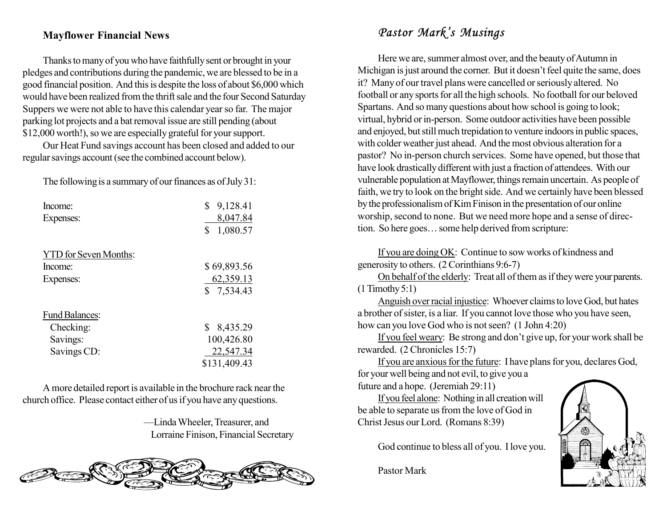#### Mayflower Financial News

Thanks to many of you who have faithfully sent or brought in your pledges and contributions during the pandemic, we are blessed to be in a good financial position. And this is despite the loss of about \$6,000 which would have been realized from the thrift sale and the four Second Saturday Suppers we were not able to have this calendar year so far. The major parking lot projects and a bat removal issue are still pending (about \$12,000 worth!), so we are especially grateful for your support.

Our Heat Fund savings account has been closed and added to our regular savings account (see the combined account below).

The following is a summary of our finances as of July 31:

| Income:                      | \$<br>9,128.41 |
|------------------------------|----------------|
| Expenses:                    | 8,047.84       |
|                              | \$<br>1,080.57 |
| <b>YTD</b> for Seven Months: |                |
| Income:                      | \$69,893.56    |
| Expenses:                    | 62,359.13      |
|                              | \$7,534.43     |
| <b>Fund Balances:</b>        |                |
| Checking:                    | \$<br>8,435.29 |
| Savings:                     | 100,426.80     |
| Savings CD:                  | 22,547.34      |
|                              | \$131,409.43   |

A more detailed report is available in the brochure rack near the church office. Please contact either of us if you have any questions.

> —Linda Wheeler, Treasurer, and Lorraine Finison, Financial Secretary



### Pastor Mark's Musings

Here we are, summer almost over, and the beauty of Autumn in Michigan is just around the corner. But it doesn't feel quite the same, does it? Many of our travel plans were cancelled or seriously altered. No football or any sports for all the high schools. No football for our beloved Spartans. And so many questions about how school is going to look; virtual, hybrid or in-person. Some outdoor activities have been possible and enjoyed, but still much trepidation to venture indoors in public spaces, with colder weather just ahead. And the most obvious alteration for a pastor? No in-person church services. Some have opened, but those that have look drastically different with just a fraction of attendees. With our vulnerable population at Mayflower, things remain uncertain. As people of faith, we try to look on the bright side. And we certainly have been blessed by the professionalism of Kim Finison in the presentation of our online worship, second to none. But we need more hope and a sense of direction. So here goes… some help derived from scripture:

If you are doing OK: Continue to sow works of kindness and generosity to others. (2 Corinthians 9:6-7)

On behalf of the elderly: Treat all of them as if they were your parents. (1 Timothy 5:1)

Anguish over racial injustice: Whoever claims to love God, but hates a brother of sister, is a liar. If you cannot love those who you have seen, how can you love God who is not seen? (1 John 4:20)

If you feel weary: Be strong and don't give up, for your work shall be rewarded. (2 Chronicles 15:7)

If you are anxious for the future: I have plans for you, declares God, for your well being and not evil, to give you a

future and a hope. (Jeremiah 29:11)

If you feel alone: Nothing in all creation will be able to separate us from the love of God in Christ Jesus our Lord. (Romans 8:39)

God continue to bless all of you. I love you.

Pastor Mark